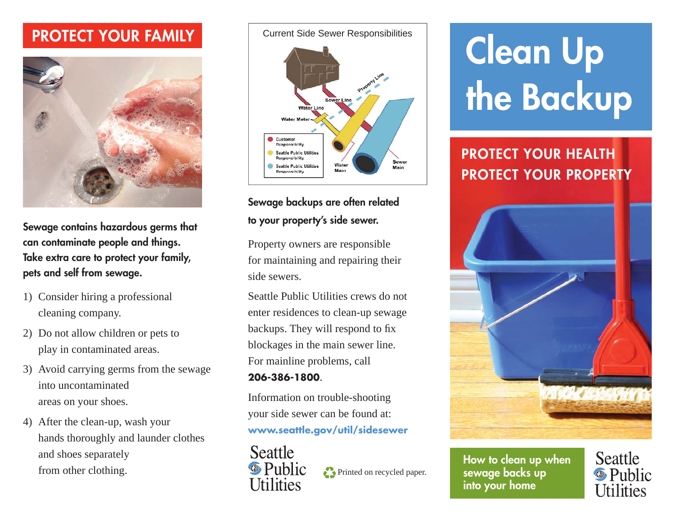#### **PROTECT YOUR FAMILY**



**Sewage contains hazardous germs that can contaminate people and things. Take extra care to protect your family, pets and self from sewage.**

- 1) Consider hiring a professional cleaning company.
- 2) Do not allow children or pets to play in contaminated areas.
- 3) Avoid carrying germs from the sewage into uncontaminated areas on your shoes.
- 4) After the clean-up, wash your hands thoroughly and launder clothes and shoes separately from other clothing.

Current Side Sewer Responsibilities



#### **Sewage backups are often related to your property's side sewer.**

Property owners are responsible for maintaining and repairing their side sewers.

Seattle Public Utilities crews do not enter residences to clean-up sewage backups. They will respond to fix blockages in the main sewer line. For mainline problems, call **206-386-1800**.

### Information on trouble-shooting

your side sewer can be found at: **www.seattle.gov/util/sidesewer**



Printed on recycled paper.

## **Clean Up the Backup**

#### **PROTECT YOUR HEALTH PROTECT YOUR PROPERTY**



**How to clean up when sewage backs up into your home**

**Seattle <sup><sup>®</sup>** Public</sup> <u>Hilities</u>